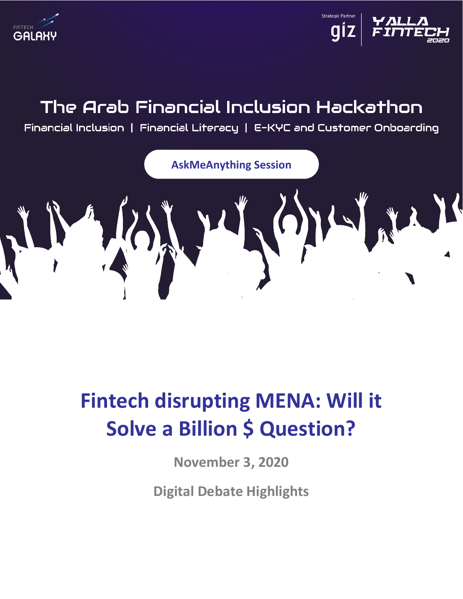



## The Arab Financial Inclusion Hackathon

Financial Inclusion | Financial Literacy | E–KYC and Customer Onboarding



# **Fintech disrupting MENA: Will it Solve a Billion \$ Question?**

**November 3, 2020**

**Digital Debate Highlights**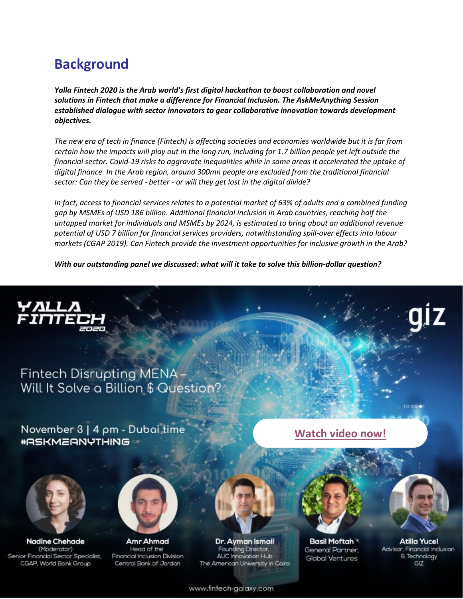## **Background**

*Yalla Fintech 2020 is the Arab world's first digital hackathon to boost collaboration and novel solutions in Fintech that make a difference for Financial Inclusion. The AskMeAnything Session established dialogue with sector innovators to gear collaborative innovation towards development objectives.*

*The new era of tech in finance (Fintech) is affecting societies and economies worldwide but it is far from certain how the impacts will play out in the long run, including for 1.7 billion people yet left outside the financial sector. Covid-19 risks to aggravate inequalities while in some areas it accelerated the uptake of digital finance. In the Arab region, around 300mn people are excluded from the traditional financial sector: Can they be served - better - or will they get lost in the digital divide?*

*In fact, access to financial services relates to a potential market of 63% of adults and a combined funding gap by MSMEs of USD 186 billion. Additional financial inclusion in Arab countries, reaching half the untapped market for individuals and MSMEs by 2024, is estimated to bring about an additional revenue potential of USD 7 billion for financial services providers, notwithstanding spill-over effects into labour markets (CGAP 2019). Can Fintech provide the investment opportunities for inclusive growth in the Arab?*

*With our outstanding panel we discussed: what will it take to solve this billion-dollar question?*



### Fintech Disrupting MENA-Will It Solve a Billion \$ Question?

November 3 | 4 pm - Dubai time **\*ASKMEANYTHING** 



**Nadine Chehade** (Moderator) Senior Financial Sector Specialist, CGAP, World Bank Group



Amr Ahmad Head of the Financial Inclusion Division Central Bank of Jordan

Dr. Ayman Ismail Founding Drector, AUC Innovation Hub The American University in Coiro



**Basil Moftah** General Partner, Global Ventures

**Atilla Yucel** Advisor, Financial Inclusion & Technology GIZ

101 0101

www.fintech-galaxy.com

**[Watch video now!](https://youtu.be/VoFt655m6U0?t=903)**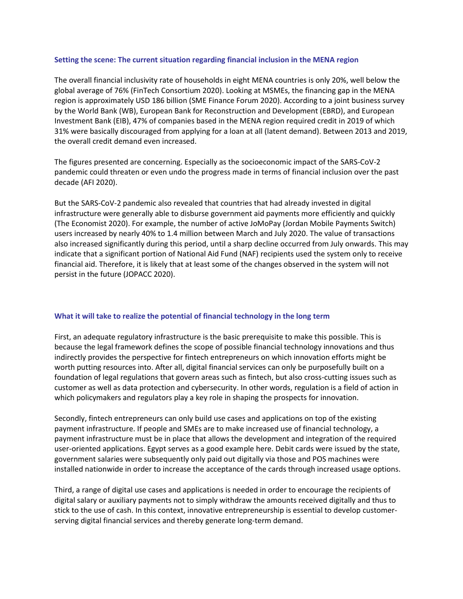#### **Setting the scene: The current situation regarding financial inclusion in the MENA region**

The overall financial inclusivity rate of households in eight MENA countries is only 20%, well below the global average of 76% (FinTech Consortium 2020). Looking at MSMEs, the financing gap in the MENA region is approximately USD 186 billion (SME Finance Forum 2020). According to a joint business survey by the World Bank (WB), European Bank for Reconstruction and Development (EBRD), and European Investment Bank (EIB), 47% of companies based in the MENA region required credit in 2019 of which 31% were basically discouraged from applying for a loan at all (latent demand). Between 2013 and 2019, the overall credit demand even increased.

The figures presented are concerning. Especially as the socioeconomic impact of the SARS-CoV-2 pandemic could threaten or even undo the progress made in terms of financial inclusion over the past decade (AFI 2020).

But the SARS-CoV-2 pandemic also revealed that countries that had already invested in digital infrastructure were generally able to disburse government aid payments more efficiently and quickly (The Economist 2020). For example, the number of active JoMoPay (Jordan Mobile Payments Switch) users increased by nearly 40% to 1.4 million between March and July 2020. The value of transactions also increased significantly during this period, until a sharp decline occurred from July onwards. This may indicate that a significant portion of National Aid Fund (NAF) recipients used the system only to receive financial aid. Therefore, it is likely that at least some of the changes observed in the system will not persist in the future (JOPACC 2020).

#### **What it will take to realize the potential of financial technology in the long term**

First, an adequate regulatory infrastructure is the basic prerequisite to make this possible. This is because the legal framework defines the scope of possible financial technology innovations and thus indirectly provides the perspective for fintech entrepreneurs on which innovation efforts might be worth putting resources into. After all, digital financial services can only be purposefully built on a foundation of legal regulations that govern areas such as fintech, but also cross-cutting issues such as customer as well as data protection and cybersecurity. In other words, regulation is a field of action in which policymakers and regulators play a key role in shaping the prospects for innovation.

Secondly, fintech entrepreneurs can only build use cases and applications on top of the existing payment infrastructure. If people and SMEs are to make increased use of financial technology, a payment infrastructure must be in place that allows the development and integration of the required user-oriented applications. Egypt serves as a good example here. Debit cards were issued by the state, government salaries were subsequently only paid out digitally via those and POS machines were installed nationwide in order to increase the acceptance of the cards through increased usage options.

Third, a range of digital use cases and applications is needed in order to encourage the recipients of digital salary or auxiliary payments not to simply withdraw the amounts received digitally and thus to stick to the use of cash. In this context, innovative entrepreneurship is essential to develop customerserving digital financial services and thereby generate long-term demand.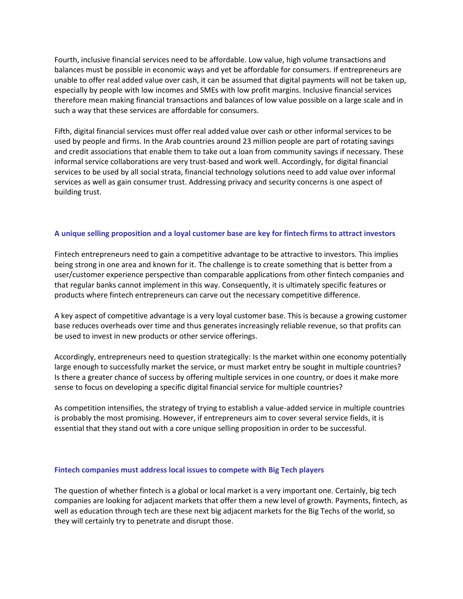Fourth, inclusive financial services need to be affordable. Low value, high volume transactions and balances must be possible in economic ways and yet be affordable for consumers. If entrepreneurs are unable to offer real added value over cash, it can be assumed that digital payments will not be taken up, especially by people with low incomes and SMEs with low profit margins. Inclusive financial services therefore mean making financial transactions and balances of low value possible on a large scale and in such a way that these services are affordable for consumers.

Fifth, digital financial services must offer real added value over cash or other informal services to be used by people and firms. In the Arab countries around 23 million people are part of rotating savings and credit associations that enable them to take out a loan from community savings if necessary. These informal service collaborations are very trust-based and work well. Accordingly, for digital financial services to be used by all social strata, financial technology solutions need to add value over informal services as well as gain consumer trust. Addressing privacy and security concerns is one aspect of building trust.

#### **A unique selling proposition and a loyal customer base are key for fintech firms to attract investors**

Fintech entrepreneurs need to gain a competitive advantage to be attractive to investors. This implies being strong in one area and known for it. The challenge is to create something that is better from a user/customer experience perspective than comparable applications from other fintech companies and that regular banks cannot implement in this way. Consequently, it is ultimately specific features or products where fintech entrepreneurs can carve out the necessary competitive difference.

A key aspect of competitive advantage is a very loyal customer base. This is because a growing customer base reduces overheads over time and thus generates increasingly reliable revenue, so that profits can be used to invest in new products or other service offerings.

Accordingly, entrepreneurs need to question strategically: Is the market within one economy potentially large enough to successfully market the service, or must market entry be sought in multiple countries? Is there a greater chance of success by offering multiple services in one country, or does it make more sense to focus on developing a specific digital financial service for multiple countries?

As competition intensifies, the strategy of trying to establish a value-added service in multiple countries is probably the most promising. However, if entrepreneurs aim to cover several service fields, it is essential that they stand out with a core unique selling proposition in order to be successful.

#### **Fintech companies must address local issues to compete with Big Tech players**

The question of whether fintech is a global or local market is a very important one. Certainly, big tech companies are looking for adjacent markets that offer them a new level of growth. Payments, fintech, as well as education through tech are these next big adjacent markets for the Big Techs of the world, so they will certainly try to penetrate and disrupt those.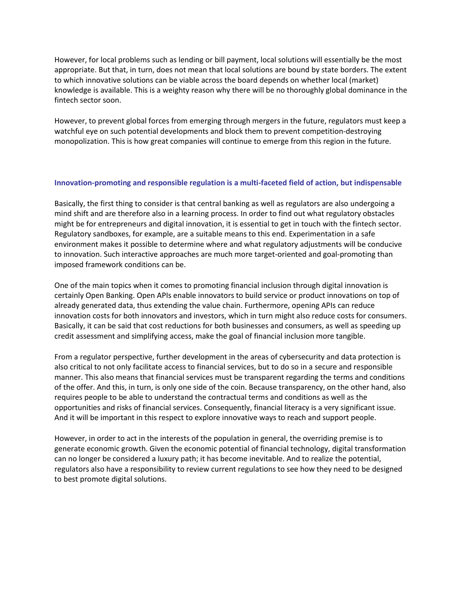However, for local problems such as lending or bill payment, local solutions will essentially be the most appropriate. But that, in turn, does not mean that local solutions are bound by state borders. The extent to which innovative solutions can be viable across the board depends on whether local (market) knowledge is available. This is a weighty reason why there will be no thoroughly global dominance in the fintech sector soon.

However, to prevent global forces from emerging through mergers in the future, regulators must keep a watchful eye on such potential developments and block them to prevent competition-destroying monopolization. This is how great companies will continue to emerge from this region in the future.

#### **Innovation-promoting and responsible regulation is a multi-faceted field of action, but indispensable**

Basically, the first thing to consider is that central banking as well as regulators are also undergoing a mind shift and are therefore also in a learning process. In order to find out what regulatory obstacles might be for entrepreneurs and digital innovation, it is essential to get in touch with the fintech sector. Regulatory sandboxes, for example, are a suitable means to this end. Experimentation in a safe environment makes it possible to determine where and what regulatory adjustments will be conducive to innovation. Such interactive approaches are much more target-oriented and goal-promoting than imposed framework conditions can be.

One of the main topics when it comes to promoting financial inclusion through digital innovation is certainly Open Banking. Open APIs enable innovators to build service or product innovations on top of already generated data, thus extending the value chain. Furthermore, opening APIs can reduce innovation costs for both innovators and investors, which in turn might also reduce costs for consumers. Basically, it can be said that cost reductions for both businesses and consumers, as well as speeding up credit assessment and simplifying access, make the goal of financial inclusion more tangible.

From a regulator perspective, further development in the areas of cybersecurity and data protection is also critical to not only facilitate access to financial services, but to do so in a secure and responsible manner. This also means that financial services must be transparent regarding the terms and conditions of the offer. And this, in turn, is only one side of the coin. Because transparency, on the other hand, also requires people to be able to understand the contractual terms and conditions as well as the opportunities and risks of financial services. Consequently, financial literacy is a very significant issue. And it will be important in this respect to explore innovative ways to reach and support people.

However, in order to act in the interests of the population in general, the overriding premise is to generate economic growth. Given the economic potential of financial technology, digital transformation can no longer be considered a luxury path; it has become inevitable. And to realize the potential, regulators also have a responsibility to review current regulations to see how they need to be designed to best promote digital solutions.